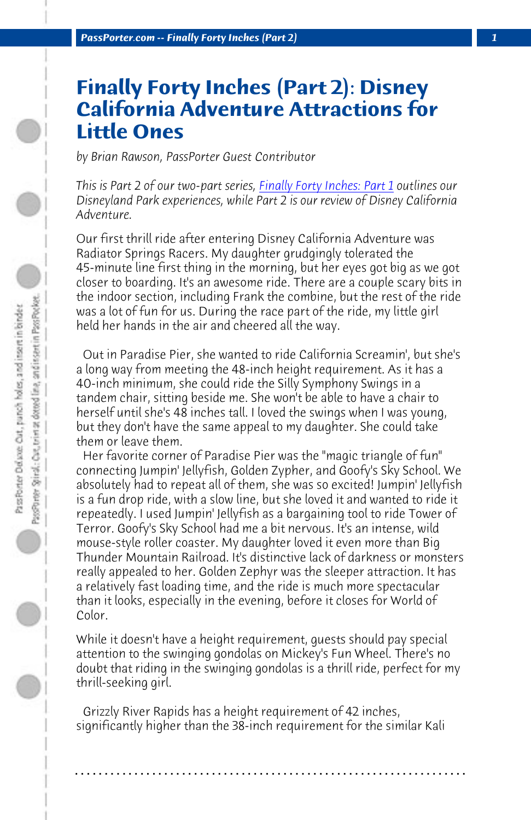*PassPorter.com -- Finally Forty Inches (Part 2) 1*

## **Finally Forty Inches (Part 2): Disney California Adventure Attractions for Little Ones**

*by Brian Rawson, PassPorter Guest Contributor*

*This is Part 2 of our two-part series, Finally Forty Inches: Part 1 outlines our Disneyland Park experiences, while Part 2 is our review of Disney California Adventure.*

Our first thrill ride after entering Disney California Adventure was Radiator Springs Racers. My daughter grudgingly tolerated the 45-minute line first thing in the morning, but her eyes got big as we got closer to boarding. It's an awesome ride. There are a couple scary bits in the indoor section, including Frank the combine, but the rest of the ride was a lot of fun for us. During the race part of the ride, my little girl held her hands in the air and cheered all the way.

 Out in Paradise Pier, she wanted to ride California Screamin', but she's a long way from meeting the 48-inch height requirement. As it has a 40-inch minimum, she could ride the Silly Symphony Swings in a tandem chair, sitting beside me. She won't be able to have a chair to herself until she's 48 inches tall. I loved the swings when I was young, but they don't have the same appeal to my daughter. She could take them or leave them.

 Her favorite corner of Paradise Pier was the "magic triangle of fun" connecting Jumpin' Jellyfish, Golden Zypher, and Goofy's Sky School. We absolutely had to repeat all of them, she was so excited! Jumpin' Jellyfish is a fun drop ride, with a slow line, but she loved it and wanted to ride it repeatedly. I used Jumpin' Jellyfish as a bargaining tool to ride Tower of Terror. Goofy's Sky School had me a bit nervous. It's an intense, wild mouse-style roller coaster. My daughter loved it even more than Big Thunder Mountain Railroad. It's distinctive lack of darkness or monsters really appealed to her. Golden Zephyr was the sleeper attraction. It has a relatively fast loading time, and the ride is much more spectacular than it looks, especially in the evening, before it closes for World of Color.

While it doesn't have a height requirement, guests should pay special attention to the swinging gondolas on Mickey's Fun Wheel. There's no doubt that riding in the swinging gondolas is a thrill ride, perfect for my thrill-seeking girl.

 Grizzly River Rapids has a height requirement of 42 inches, significantly higher than the 38-inch requirement for the similar Kali

**. . . . . . . . . . . . . . . . . . . . . . . . . . . . . . . . . . . . . . . . . . . . . . . . . . . . . . . . . . . . . . . . . .**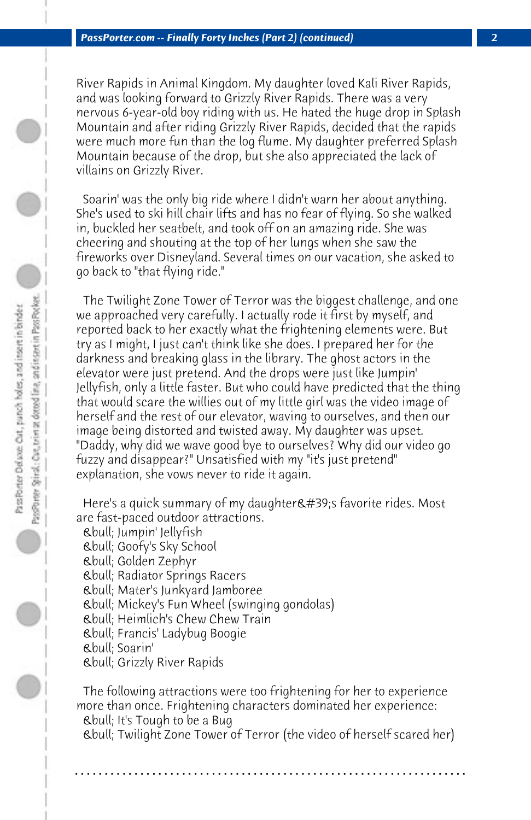River Rapids in Animal Kingdom. My daughter loved Kali River Rapids, and was looking forward to Grizzly River Rapids. There was a very nervous 6-year-old boy riding with us. He hated the huge drop in Splash Mountain and after riding Grizzly River Rapids, decided that the rapids were much more fun than the log flume. My daughter preferred Splash Mountain because of the drop, but she also appreciated the lack of villains on Grizzly River.

 Soarin' was the only big ride where I didn't warn her about anything. She's used to ski hill chair lifts and has no fear of flying. So she walked in, buckled her seatbelt, and took off on an amazing ride. She was cheering and shouting at the top of her lungs when she saw the fireworks over Disneyland. Several times on our vacation, she asked to go back to "that flying ride."

 The Twilight Zone Tower of Terror was the biggest challenge, and one we approached very carefully. I actually rode it first by myself, and reported back to her exactly what the frightening elements were. But try as I might, I just can't think like she does. I prepared her for the darkness and breaking glass in the library. The ghost actors in the elevator were just pretend. And the drops were just like Jumpin' Jellyfish, only a little faster. But who could have predicted that the thing that would scare the willies out of my little girl was the video image of herself and the rest of our elevator, waving to ourselves, and then our image being distorted and twisted away. My daughter was upset. "Daddy, why did we wave good bye to ourselves? Why did our video go fuzzy and disappear?" Unsatisfied with my "it's just pretend" explanation, she vows never to ride it again.

Here's a quick summary of my daughter's favorite rides. Most are fast-paced outdoor attractions.

 • Jumpin' Jellyfish • Goofy's Sky School • Golden Zephyr • Radiator Springs Racers • Mater's Junkyard Jamboree • Mickey's Fun Wheel (swinging gondolas) • Heimlich's Chew Chew Train • Francis' Ladybug Boogie • Soarin' • Grizzly River Rapids

 The following attractions were too frightening for her to experience more than once. Frightening characters dominated her experience: • It's Tough to be a Bug • Twilight Zone Tower of Terror (the video of herself scared her)

**. . . . . . . . . . . . . . . . . . . . . . . . . . . . . . . . . . . . . . . . . . . . . . . . . . . . . . . . . . . . . . . . . .**